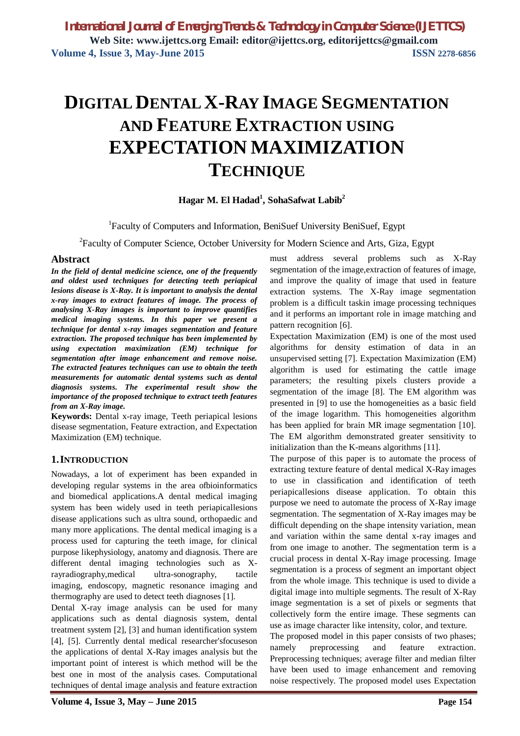# **DIGITAL DENTAL X-RAY IMAGE SEGMENTATION AND FEATURE EXTRACTION USING EXPECTATION MAXIMIZATION TECHNIQUE**

## **Hagar M. El Hadad<sup>1</sup> , SohaSafwat Labib<sup>2</sup>**

<sup>1</sup>Faculty of Computers and Information, BeniSuef University BeniSuef, Egypt

<sup>2</sup>Faculty of Computer Science, October University for Modern Science and Arts, Giza, Egypt

### **Abstract**

*In the field of dental medicine science, one of the frequently and oldest used techniques for detecting teeth periapical lesions disease is X-Ray. It is important to analysis the dental x-ray images to extract features of image. The process of analysing X-Ray images is important to improve quantifies medical imaging systems. In this paper we present a technique for dental x-ray images segmentation and feature extraction. The proposed technique has been implemented by using expectation maximization (EM) technique for segmentation after image enhancement and remove noise. The extracted features techniques can use to obtain the teeth measurements for automatic dental systems such as dental diagnosis systems. The experimental result show the importance of the proposed technique to extract teeth features from an X-Ray image.*

**Keywords:** Dental x-ray image, Teeth periapical lesions disease segmentation, Feature extraction, and Expectation Maximization (EM) technique.

### **1.INTRODUCTION**

Nowadays, a lot of experiment has been expanded in developing regular systems in the area ofbioinformatics and biomedical applications.A dental medical imaging system has been widely used in teeth periapicallesions disease applications such as ultra sound, orthopaedic and many more applications. The dental medical imaging is a process used for capturing the teeth image, for clinical purpose likephysiology, anatomy and diagnosis. There are different dental imaging technologies such as Xrayradiography,medical ultra-sonography, tactile imaging, endoscopy, magnetic resonance imaging and thermography are used to detect teeth diagnoses [1].

Dental X-ray image analysis can be used for many applications such as dental diagnosis system, dental treatment system [2], [3] and human identification system [4], [5]. Currently dental medical researcher'sfocuseson the applications of dental X-Ray images analysis but the important point of interest is which method will be the best one in most of the analysis cases. Computational techniques of dental image analysis and feature extraction must address several problems such as X-Ray segmentation of the image,extraction of features of image, and improve the quality of image that used in feature extraction systems. The X-Ray image segmentation problem is a difficult taskin image processing techniques and it performs an important role in image matching and pattern recognition [6].

Expectation Maximization (EM) is one of the most used algorithms for density estimation of data in an unsupervised setting [7]. Expectation Maximization (EM) algorithm is used for estimating the cattle image parameters; the resulting pixels clusters provide a segmentation of the image [8]. The EM algorithm was presented in [9] to use the homogeneities as a basic field of the image logarithm. This homogeneities algorithm has been applied for brain MR image segmentation [10]. The EM algorithm demonstrated greater sensitivity to initialization than the K-means algorithms [11].

The purpose of this paper is to automate the process of extracting texture feature of dental medical X-Ray images to use in classification and identification of teeth periapicallesions disease application. To obtain this purpose we need to automate the process of X-Ray image segmentation. The segmentation of X-Ray images may be difficult depending on the shape intensity variation, mean and variation within the same dental x-ray images and from one image to another. The segmentation term is a crucial process in dental X-Ray image processing. Image segmentation is a process of segment an important object from the whole image. This technique is used to divide a digital image into multiple segments. The result of X-Ray image segmentation is a set of pixels or segments that collectively form the entire image. These segments can use as image character like intensity, color, and texture.

The proposed model in this paper consists of two phases; namely preprocessing and feature extraction. Preprocessing techniques; average filter and median filter have been used to image enhancement and removing noise respectively. The proposed model uses Expectation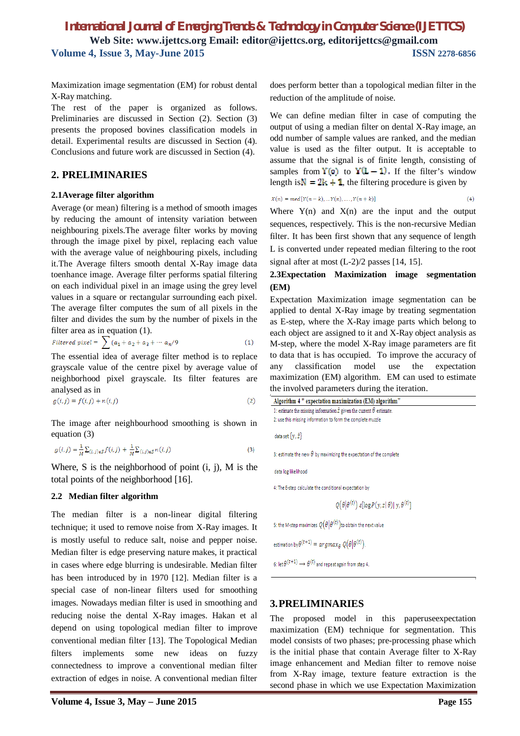# *International Journal of Emerging Trends & Technology in Computer Science (IJETTCS)* **Web Site: www.ijettcs.org Email: editor@ijettcs.org, editorijettcs@gmail.com Volume 4, Issue 3, May-June 2015 ISSN** 2278-6856

Maximization image segmentation (EM) for robust dental X-Ray matching.

The rest of the paper is organized as follows. Preliminaries are discussed in Section (2). Section (3) presents the proposed bovines classification models in detail. Experimental results are discussed in Section (4). Conclusions and future work are discussed in Section (4).

### **2. PRELIMINARIES**

#### **2.1Average filter algorithm**

Average (or mean) filtering is a method of smooth images by reducing the amount of intensity variation between neighbouring pixels.The average filter works by moving through the image pixel by pixel, replacing each value with the average value of neighbouring pixels, including it.The Average filters smooth dental X-Ray image data toenhance image. Average filter performs spatial filtering on each individual pixel in an image using the grey level values in a square or rectangular surrounding each pixel. The average filter computes the sum of all pixels in the filter and divides the sum by the number of pixels in the filter area as in equation (1).

$$
Filtered pixel = \sum (a_1 + a_2 + a_3 + \cdots + a_n/9)
$$
 (1)

The essential idea of average filter method is to replace grayscale value of the centre pixel by average value of neighborhood pixel grayscale. Its filter features are analysed as in

$$
g(i,j) = f(i,j) + n(i,j)
$$
 (2)

The image after neighbourhood smoothing is shown in equation (3)

$$
g(i,j) = \frac{1}{M} \sum_{(i,j)\in S} f(i,j) + \frac{1}{M} \sum_{(i,j)\in S} n(i,j)
$$
\n(3)

Where, S is the neighborhood of point  $(i, j)$ , M is the total points of the neighborhood [16].

#### **2.2 Median filter algorithm**

The median filter is a non-linear digital filtering technique; it used to remove noise from X-Ray images. It is mostly useful to reduce salt, noise and pepper noise. Median filter is edge preserving nature makes, it practical in cases where edge blurring is undesirable. Median filter has been introduced by in 1970 [12]. Median filter is a special case of non-linear filters used for smoothing images. Nowadays median filter is used in smoothing and reducing noise the dental X-Ray images. Hakan et al depend on using topological median filter to improve conventional median filter [13]. The Topological Median filters implements some new ideas on fuzzy connectedness to improve a conventional median filter extraction of edges in noise. A conventional median filter does perform better than a topological median filter in the reduction of the amplitude of noise.

We can define median filter in case of computing the output of using a median filter on dental X-Ray image, an odd number of sample values are ranked, and the median value is used as the filter output. It is acceptable to assume that the signal is of finite length, consisting of samples from  $Y(0)$  to  $Y(L-1)$ . If the filter's window length is  $N = 2k + 1$ , the filtering procedure is given by

$$
X(n) = med[Y(n-k), ... Y(n), ..., Y(n+k)]
$$
\n(4)

Where  $Y(n)$  and  $X(n)$  are the input and the output sequences, respectively. This is the non-recursive Median filter. It has been first shown that any sequence of length L is converted under repeated median filtering to the root signal after at most (L-2)/2 passes [14, 15].

### **2.3Expectation Maximization image segmentation (EM)**

Expectation Maximization image segmentation can be applied to dental X-Ray image by treating segmentation as E-step, where the X-Ray image parts which belong to each object are assigned to it and X-Ray object analysis as M-step, where the model X-Ray image parameters are fit to data that is has occupied. To improve the accuracy of any classification model use the expectation maximization (EM) algorithm. EM can used to estimate the involved parameters during the iteration.

| 1: estimate the missing information $\hat{z}$ given the current $\theta$ estimate. |  |
|------------------------------------------------------------------------------------|--|
| 2: use this missing information to form the complete muzzle                        |  |
| data set $\{v, \hat{z}\}\$                                                         |  |
| 3: estimate the new $\theta$ by maximizing the expectation of the complete         |  |
| data log likelihood                                                                |  |
| 4: The E-step calculate the conditional expectation by                             |  |
| $Q(\theta \theta^{(t)}) \varepsilon [\log P(y, z \theta)] y, \theta^{(t)}]$        |  |
| 5: the M-step maximizes $Q(\theta \theta^{(t)})$ to obtain the next value          |  |
| estimation by $\theta^{(t+1)} = \argmax_{\theta} Q(\theta   \theta^{(t)})$ .       |  |
| 6: let $\theta^{(t+1)} \rightarrow \theta^{(t)}$ and repeat again from step 4.     |  |

### **3.PRELIMINARIES**

The proposed model in this paperuseexpectation maximization (EM) technique for segmentation. This model consists of two phases; pre-processing phase which is the initial phase that contain Average filter to X-Ray image enhancement and Median filter to remove noise from X-Ray image, texture feature extraction is the second phase in which we use Expectation Maximization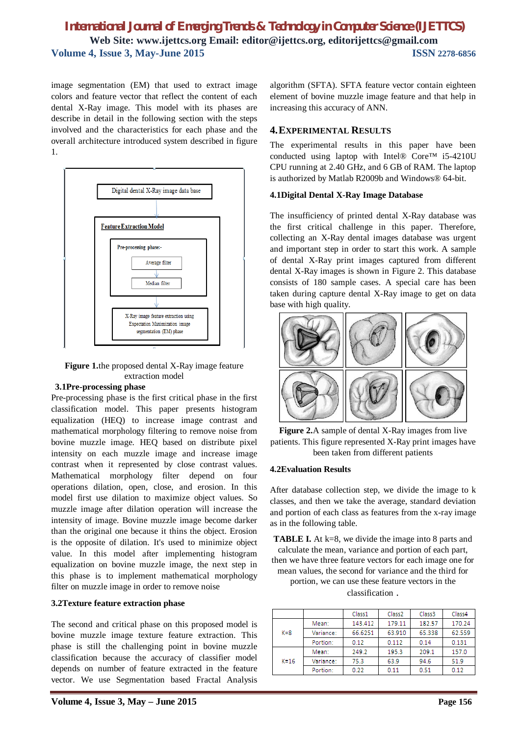# *International Journal of Emerging Trends & Technology in Computer Science (IJETTCS)* **Web Site: www.ijettcs.org Email: editor@ijettcs.org, editorijettcs@gmail.com Volume 4, Issue 3, May-June 2015**

image segmentation (EM) that used to extract image colors and feature vector that reflect the content of each dental X-Ray image. This model with its phases are describe in detail in the following section with the steps involved and the characteristics for each phase and the overall architecture introduced system described in figure 1.



**Figure 1.**the proposed dental X-Ray image feature extraction model

#### **3.1Pre-processing phase**

Pre-processing phase is the first critical phase in the first classification model. This paper presents histogram equalization (HEQ) to increase image contrast and mathematical morphology filtering to remove noise from bovine muzzle image. HEQ based on distribute pixel intensity on each muzzle image and increase image contrast when it represented by close contrast values. Mathematical morphology filter depend on four operations dilation, open, close, and erosion. In this model first use dilation to maximize object values. So muzzle image after dilation operation will increase the intensity of image. Bovine muzzle image become darker than the original one because it thins the object. Erosion is the opposite of dilation. It's used to minimize object value. In this model after implementing histogram equalization on bovine muzzle image, the next step in this phase is to implement mathematical morphology filter on muzzle image in order to remove noise

### **3.2Texture feature extraction phase**

The second and critical phase on this proposed model is bovine muzzle image texture feature extraction. This phase is still the challenging point in bovine muzzle classification because the accuracy of classifier model depends on number of feature extracted in the feature vector. We use Segmentation based Fractal Analysis algorithm (SFTA). SFTA feature vector contain eighteen element of bovine muzzle image feature and that help in increasing this accuracy of ANN.

### **4.EXPERIMENTAL RESULTS**

The experimental results in this paper have been conducted using laptop with Intel® Core™ i5-4210U CPU running at 2.40 GHz, and 6 GB of RAM. The laptop is authorized by Matlab R2009b and Windows® 64-bit.

### **4.1Digital Dental X-Ray Image Database**

The insufficiency of printed dental X-Ray database was the first critical challenge in this paper. Therefore, collecting an X-Ray dental images database was urgent and important step in order to start this work. A sample of dental X-Ray print images captured from different dental X-Ray images is shown in Figure 2. This database consists of 180 sample cases. A special care has been taken during capture dental X-Ray image to get on data base with high quality.





### **4.2Evaluation Results**

After database collection step, we divide the image to k classes, and then we take the average, standard deviation and portion of each class as features from the x-ray image as in the following table.

**TABLE I.** At k=8, we divide the image into 8 parts and calculate the mean, variance and portion of each part, then we have three feature vectors for each image one for mean values, the second for variance and the third for portion, we can use these feature vectors in the classification .

|          |           | Class1  | Class <sub>2</sub> | Class3 | Class4 |
|----------|-----------|---------|--------------------|--------|--------|
| $K = 8$  | Mean:     | 143.412 | 179.11             | 182.57 | 170.24 |
|          | Variance: | 66.6251 | 63.910             | 65.338 | 62.559 |
|          | Portion:  | 0.12    | 0.112              | 0.14   | 0.131  |
| $K = 16$ | Mean:     | 249.2   | 195.3              | 209.1  | 157.0  |
|          | Variance: | 75.3    | 63.9               | 94.6   | 51.9   |
|          | Portion:  | 0.22    | 0.11               | 0.51   | 0.12   |